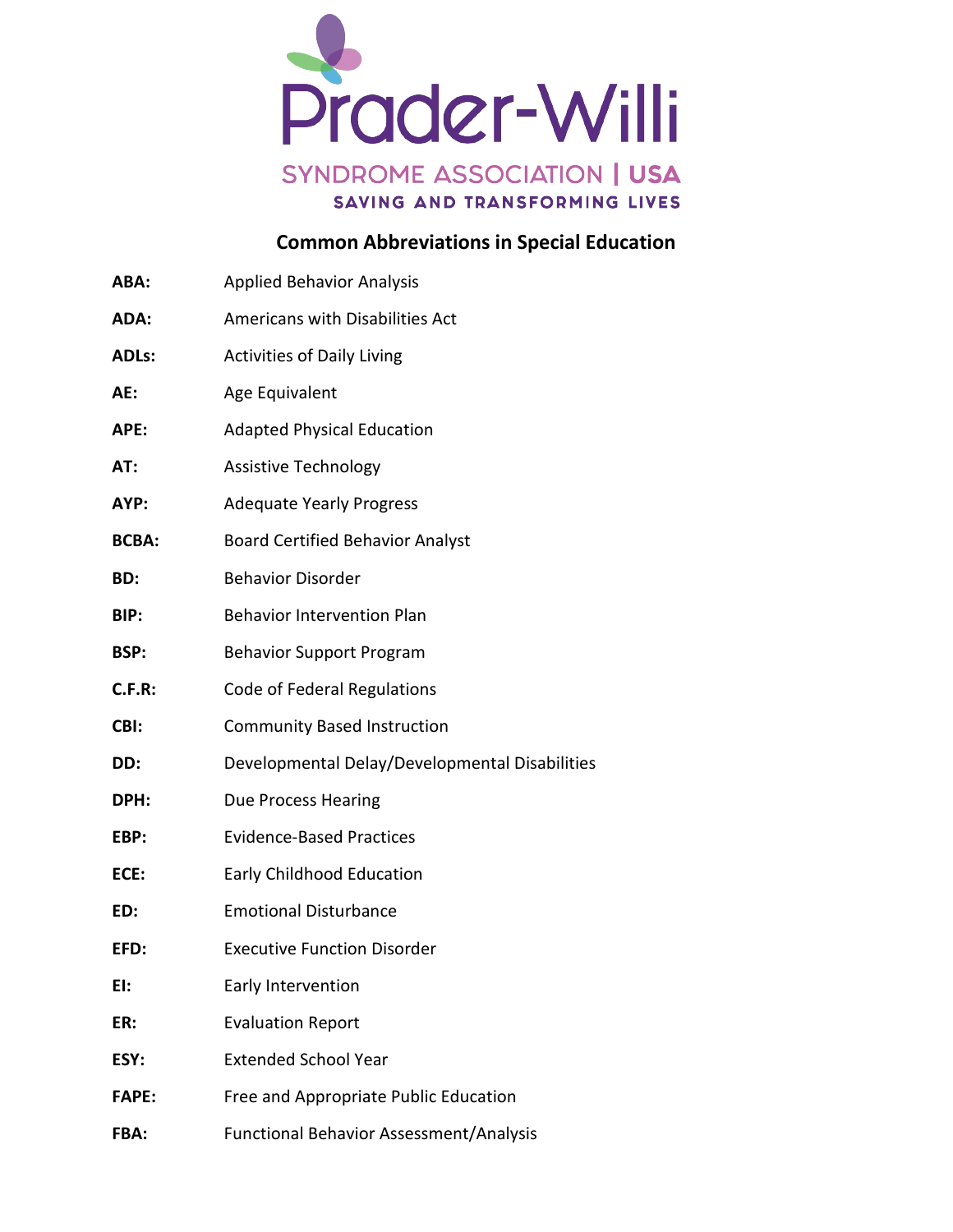

## **Common Abbreviations in Special Education**

| ABA:         | <b>Applied Behavior Analysis</b>               |
|--------------|------------------------------------------------|
| ADA:         | Americans with Disabilities Act                |
| ADLs:        | <b>Activities of Daily Living</b>              |
| AE:          | Age Equivalent                                 |
| APE:         | <b>Adapted Physical Education</b>              |
| AT:          | <b>Assistive Technology</b>                    |
| AYP:         | <b>Adequate Yearly Progress</b>                |
| <b>BCBA:</b> | <b>Board Certified Behavior Analyst</b>        |
| BD:          | <b>Behavior Disorder</b>                       |
| BIP:         | <b>Behavior Intervention Plan</b>              |
| BSP:         | <b>Behavior Support Program</b>                |
| C.F.R:       | Code of Federal Regulations                    |
| CBI:         | <b>Community Based Instruction</b>             |
| DD:          | Developmental Delay/Developmental Disabilities |
| <b>DPH:</b>  | <b>Due Process Hearing</b>                     |
| EBP:         | <b>Evidence-Based Practices</b>                |
| ECE:         | Early Childhood Education                      |
| ED:          | <b>Emotional Disturbance</b>                   |
| EFD:         | <b>Executive Function Disorder</b>             |
| EI:          | Early Intervention                             |
| ER:          | <b>Evaluation Report</b>                       |
| ESY:         | <b>Extended School Year</b>                    |
| <b>FAPE:</b> | Free and Appropriate Public Education          |
|              |                                                |

**FBA:** Functional Behavior Assessment/Analysis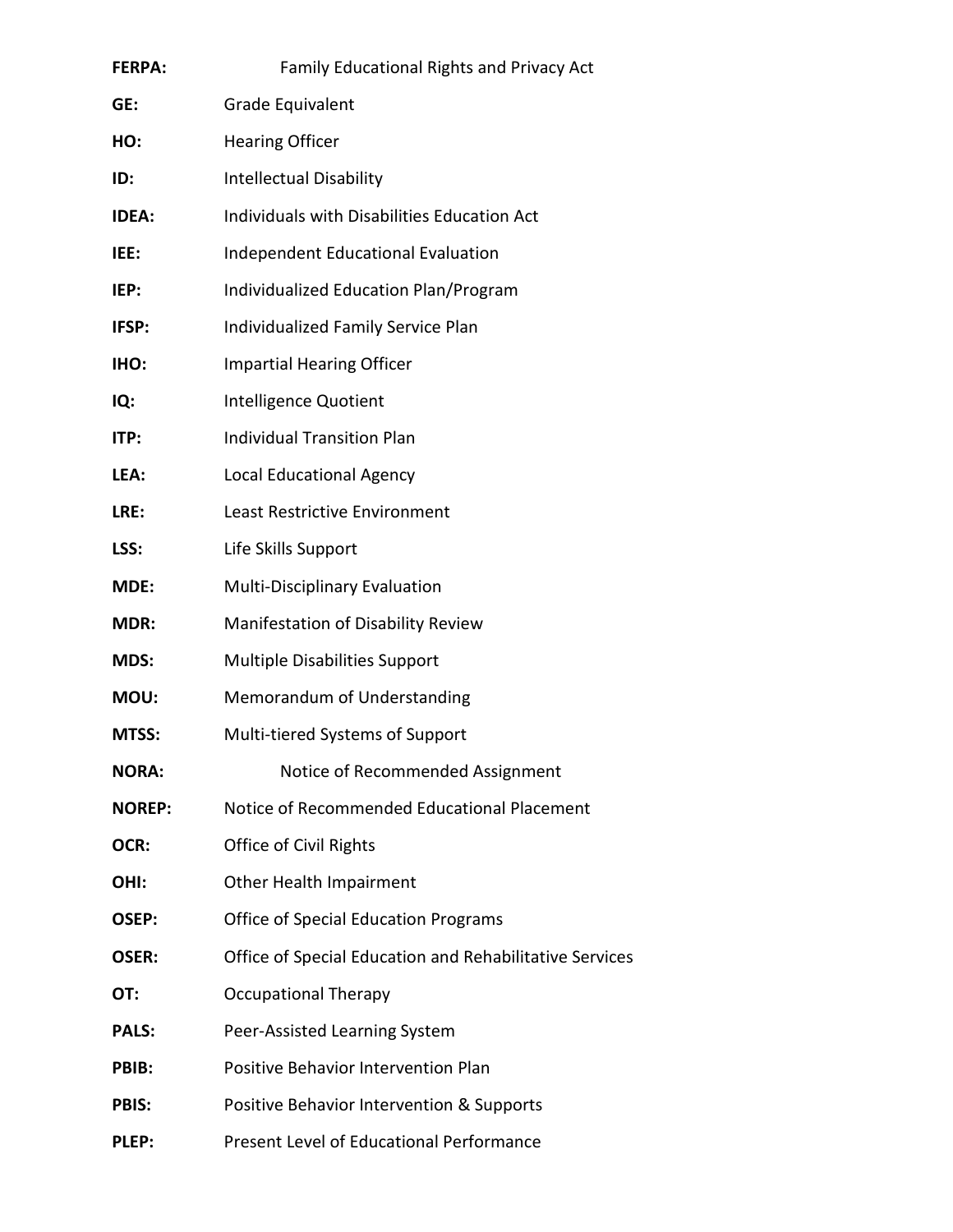| <b>FERPA:</b> | <b>Family Educational Rights and Privacy Act</b>        |  |
|---------------|---------------------------------------------------------|--|
| GE:           | Grade Equivalent                                        |  |
| HO:           | <b>Hearing Officer</b>                                  |  |
| ID:           | <b>Intellectual Disability</b>                          |  |
| <b>IDEA:</b>  | Individuals with Disabilities Education Act             |  |
| IEE:          | <b>Independent Educational Evaluation</b>               |  |
| IEP:          | Individualized Education Plan/Program                   |  |
| IFSP:         | Individualized Family Service Plan                      |  |
| IHO:          | <b>Impartial Hearing Officer</b>                        |  |
| IQ:           | Intelligence Quotient                                   |  |
| ITP:          | <b>Individual Transition Plan</b>                       |  |
| LEA:          | <b>Local Educational Agency</b>                         |  |
| LRE:          | <b>Least Restrictive Environment</b>                    |  |
| LSS:          | Life Skills Support                                     |  |
| MDE:          | Multi-Disciplinary Evaluation                           |  |
| <b>MDR:</b>   | Manifestation of Disability Review                      |  |
| MDS:          | <b>Multiple Disabilities Support</b>                    |  |
| MOU:          | Memorandum of Understanding                             |  |
| MTSS:         | Multi-tiered Systems of Support                         |  |
| <b>NORA:</b>  | Notice of Recommended Assignment                        |  |
| <b>NOREP:</b> | Notice of Recommended Educational Placement             |  |
| OCR:          | Office of Civil Rights                                  |  |
| OHI:          | Other Health Impairment                                 |  |
| OSEP:         | <b>Office of Special Education Programs</b>             |  |
| <b>OSER:</b>  | Office of Special Education and Rehabilitative Services |  |
| OT:           | <b>Occupational Therapy</b>                             |  |
| <b>PALS:</b>  | Peer-Assisted Learning System                           |  |
| PBIB:         | Positive Behavior Intervention Plan                     |  |
| <b>PBIS:</b>  | Positive Behavior Intervention & Supports               |  |
| PLEP:         | Present Level of Educational Performance                |  |